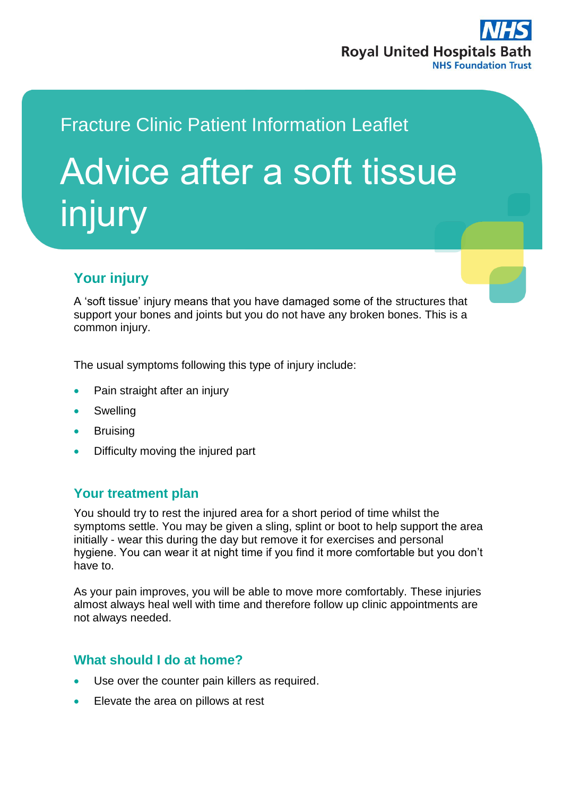

# Fracture Clinic Patient Information Leaflet Advice after a soft tissue injury

# **Your injury**

A 'soft tissue' injury means that you have damaged some of the structures that support your bones and joints but you do not have any broken bones. This is a common injury.

The usual symptoms following this type of injury include:

- Pain straight after an injury
- Swelling
- **•** Bruising
- Difficulty moving the injured part

## **Your treatment plan**

You should try to rest the injured area for a short period of time whilst the symptoms settle. You may be given a sling, splint or boot to help support the area initially - wear this during the day but remove it for exercises and personal hygiene. You can wear it at night time if you find it more comfortable but you don't have to.

As your pain improves, you will be able to move more comfortably. These injuries almost always heal well with time and therefore follow up clinic appointments are not always needed.

## **What should I do at home?**

- Use over the counter pain killers as required.
- Elevate the area on pillows at rest